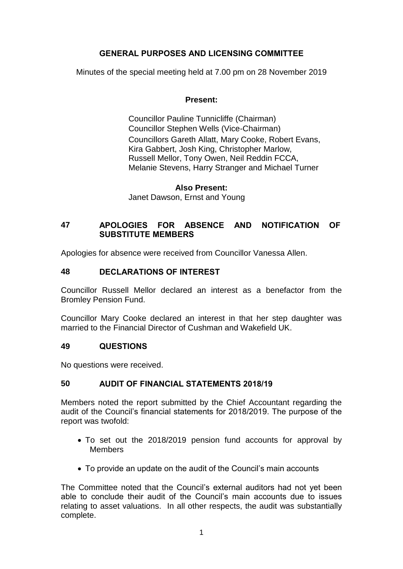# **GENERAL PURPOSES AND LICENSING COMMITTEE**

Minutes of the special meeting held at 7.00 pm on 28 November 2019

## **Present:**

Councillor Pauline Tunnicliffe (Chairman) Councillor Stephen Wells (Vice-Chairman) Councillors Gareth Allatt, Mary Cooke, Robert Evans, Kira Gabbert, Josh King, Christopher Marlow, Russell Mellor, Tony Owen, Neil Reddin FCCA, Melanie Stevens, Harry Stranger and Michael Turner

## **Also Present:**

Janet Dawson, Ernst and Young

## **47 APOLOGIES FOR ABSENCE AND NOTIFICATION OF SUBSTITUTE MEMBERS**

Apologies for absence were received from Councillor Vanessa Allen.

## **48 DECLARATIONS OF INTEREST**

Councillor Russell Mellor declared an interest as a benefactor from the Bromley Pension Fund.

Councillor Mary Cooke declared an interest in that her step daughter was married to the Financial Director of Cushman and Wakefield UK.

## **49 QUESTIONS**

No questions were received.

## **50 AUDIT OF FINANCIAL STATEMENTS 2018/19**

Members noted the report submitted by the Chief Accountant regarding the audit of the Council's financial statements for 2018/2019. The purpose of the report was twofold:

- To set out the 2018/2019 pension fund accounts for approval by **Members**
- To provide an update on the audit of the Council's main accounts

The Committee noted that the Council's external auditors had not yet been able to conclude their audit of the Council's main accounts due to issues relating to asset valuations. In all other respects, the audit was substantially complete.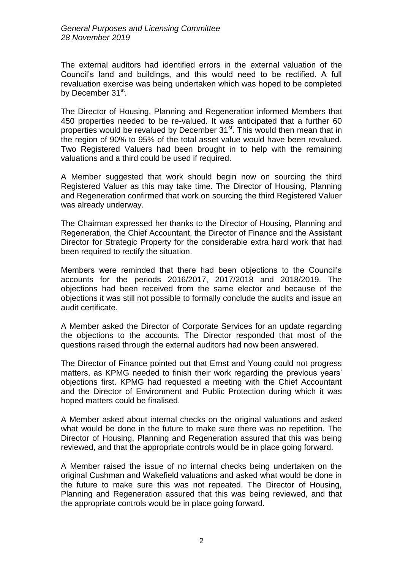The external auditors had identified errors in the external valuation of the Council's land and buildings, and this would need to be rectified. A full revaluation exercise was being undertaken which was hoped to be completed by December 31st.

The Director of Housing, Planning and Regeneration informed Members that 450 properties needed to be re-valued. It was anticipated that a further 60 properties would be revalued by December 31<sup>st</sup>. This would then mean that in the region of 90% to 95% of the total asset value would have been revalued. Two Registered Valuers had been brought in to help with the remaining valuations and a third could be used if required.

A Member suggested that work should begin now on sourcing the third Registered Valuer as this may take time. The Director of Housing, Planning and Regeneration confirmed that work on sourcing the third Registered Valuer was already underway.

The Chairman expressed her thanks to the Director of Housing, Planning and Regeneration, the Chief Accountant, the Director of Finance and the Assistant Director for Strategic Property for the considerable extra hard work that had been required to rectify the situation.

Members were reminded that there had been objections to the Council's accounts for the periods 2016/2017, 2017/2018 and 2018/2019. The objections had been received from the same elector and because of the objections it was still not possible to formally conclude the audits and issue an audit certificate.

A Member asked the Director of Corporate Services for an update regarding the objections to the accounts. The Director responded that most of the questions raised through the external auditors had now been answered.

The Director of Finance pointed out that Ernst and Young could not progress matters, as KPMG needed to finish their work regarding the previous years' objections first. KPMG had requested a meeting with the Chief Accountant and the Director of Environment and Public Protection during which it was hoped matters could be finalised.

A Member asked about internal checks on the original valuations and asked what would be done in the future to make sure there was no repetition. The Director of Housing, Planning and Regeneration assured that this was being reviewed, and that the appropriate controls would be in place going forward.

A Member raised the issue of no internal checks being undertaken on the original Cushman and Wakefield valuations and asked what would be done in the future to make sure this was not repeated. The Director of Housing, Planning and Regeneration assured that this was being reviewed, and that the appropriate controls would be in place going forward.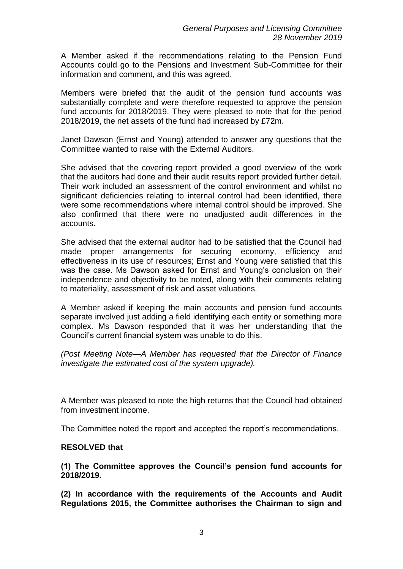A Member asked if the recommendations relating to the Pension Fund Accounts could go to the Pensions and Investment Sub-Committee for their information and comment, and this was agreed.

Members were briefed that the audit of the pension fund accounts was substantially complete and were therefore requested to approve the pension fund accounts for 2018/2019. They were pleased to note that for the period 2018/2019, the net assets of the fund had increased by £72m.

Janet Dawson (Ernst and Young) attended to answer any questions that the Committee wanted to raise with the External Auditors.

She advised that the covering report provided a good overview of the work that the auditors had done and their audit results report provided further detail. Their work included an assessment of the control environment and whilst no significant deficiencies relating to internal control had been identified, there were some recommendations where internal control should be improved. She also confirmed that there were no unadjusted audit differences in the accounts.

She advised that the external auditor had to be satisfied that the Council had made proper arrangements for securing economy, efficiency and effectiveness in its use of resources; Ernst and Young were satisfied that this was the case. Ms Dawson asked for Ernst and Young's conclusion on their independence and objectivity to be noted, along with their comments relating to materiality, assessment of risk and asset valuations.

A Member asked if keeping the main accounts and pension fund accounts separate involved just adding a field identifying each entity or something more complex. Ms Dawson responded that it was her understanding that the Council's current financial system was unable to do this.

*(Post Meeting Note—A Member has requested that the Director of Finance investigate the estimated cost of the system upgrade).* 

A Member was pleased to note the high returns that the Council had obtained from investment income.

The Committee noted the report and accepted the report's recommendations.

## **RESOLVED that**

**(1) The Committee approves the Council's pension fund accounts for 2018/2019.**

**(2) In accordance with the requirements of the Accounts and Audit Regulations 2015, the Committee authorises the Chairman to sign and**